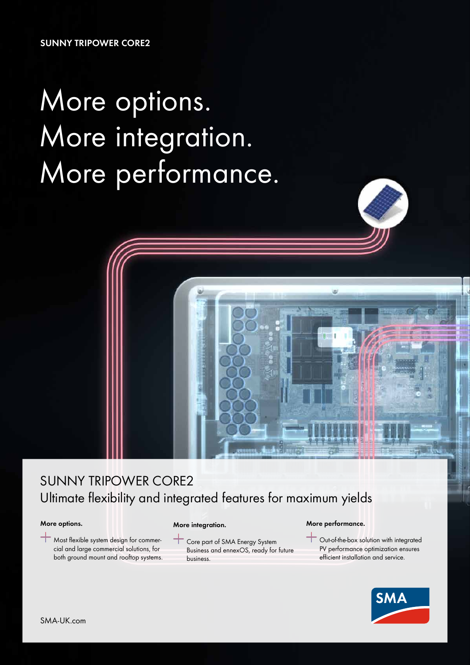**SUNNY TRIPOWER CORE2**

# More options. More integration. More performance.



#### **More options.**

Most flexible system design for commercial and large commercial solutions, for both ground mount and rooftop systems.

### **More integration.**

Core part of SMA Energy System Business and ennexOS, ready for future business.

### **More performance.**

Out-of-the-box solution with integrated PV performance optimization ensures efficient installation and service.